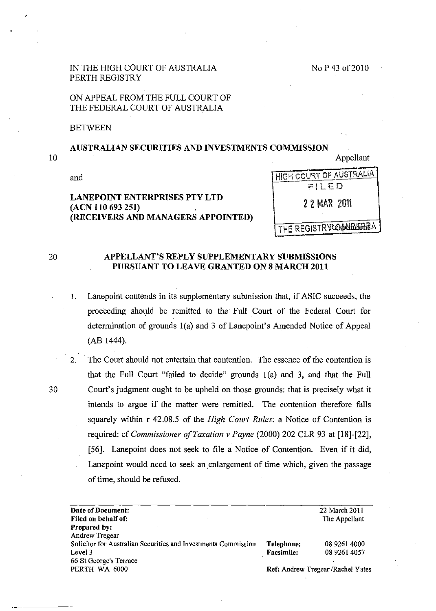### IN THE HIGH COURT OF AUSTRALIA PERTH REGISTRY

## ON APPEAL FROM THE FULL COURT OF THE FEDERAL COURT OF AUSTRALIA

**BETWEEN** 

# AUSTRALIAN SECURITIES AND INVESTMENTS COMMISSION

10

Appellant

and

# LANEPOINT ENTERPRISES PTY LTD (ACN 110 693 251) (RECEIVERS AND MANAGERS APPOINTED)

FiLED 22 MAR 2011

HIGH COURT OF AUSTRALIA

THE REGISTR RESIDED FOR A

### 20 APPELLANT'S REPLY SUPPLEMENTARY SUBMISSIONS PURSUANT TO LEAVE GRANTED ON 8 MARCH 2011

- 1. Lanepoint contends in its supplementary submission that, if ASIC succeeds, the proceeding should be remitted to the Full Court of the Federal Court for determination of grounds  $1(a)$  and 3 of Lanepoint's Amended Notice of Appeal (AB 1444).
- 2. The Court should not entertain that contention. The essence of the contention is that the Full Court "failed to decide" grounds  $1(a)$  and 3, and that the Full 30 Court's judgment ought to be upheld on those grounds: that is precisely what it intends to argue if the matter were remitted. The contention therefore falls squarely within r 42.08.5 of the *High Court Rules:* a Notice of Contention is required: cf *Commissioner o/Taxation v Payne* (2000) 202 CLR 93 at [18]-[22], [56]. Lanepoint does not seek to file a Notice of Contention. Even if it did, Lanepoint would need to seek an enlargement of time which, given the passage of time, should be refused.

| Date of Document:                                              |                                    | 22 March 2011 |
|----------------------------------------------------------------|------------------------------------|---------------|
| Filed on behalf of:                                            |                                    | The Appellant |
| <b>Prepared by:</b>                                            |                                    |               |
| <b>Andrew Tregear</b>                                          |                                    |               |
| Solicitor for Australian Securities and Investments Commission | Telephone:                         | 08 9261 4000  |
| Level 3                                                        | <b>Facsimile:</b>                  | 08 9261 4057  |
| 66 St George's Terrace                                         |                                    |               |
| PERTH WA 6000                                                  | Ref: Andrew Tregear / Rachel Yates |               |